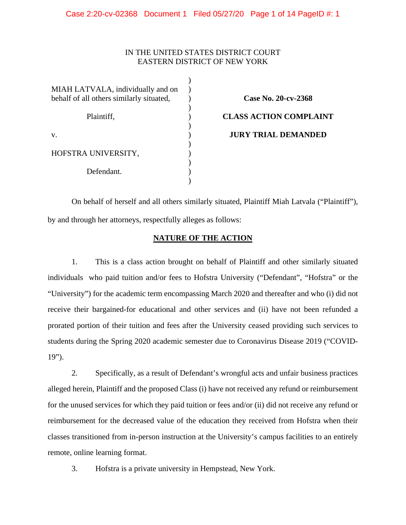## IN THE UNITED STATES DISTRICT COURT EASTERN DISTRICT OF NEW YORK

MIAH LATVALA, individually and on behalf of all others similarly situated, Plaintiff, v. HOFSTRA UNIVERSITY, Defendant. ) ) ) ) ) ) ) ) ) ) ) )

**Case No. 20-cv-2368 CLASS ACTION COMPLAINT JURY TRIAL DEMANDED**

On behalf of herself and all others similarly situated, Plaintiff Miah Latvala ("Plaintiff"), by and through her attorneys, respectfully alleges as follows:

# **NATURE OF THE ACTION**

1. This is a class action brought on behalf of Plaintiff and other similarly situated individuals who paid tuition and/or fees to Hofstra University ("Defendant", "Hofstra" or the "University") for the academic term encompassing March 2020 and thereafter and who (i) did not receive their bargained-for educational and other services and (ii) have not been refunded a prorated portion of their tuition and fees after the University ceased providing such services to students during the Spring 2020 academic semester due to Coronavirus Disease 2019 ("COVID-19").

2. Specifically, as a result of Defendant's wrongful acts and unfair business practices alleged herein, Plaintiff and the proposed Class (i) have not received any refund or reimbursement for the unused services for which they paid tuition or fees and/or (ii) did not receive any refund or reimbursement for the decreased value of the education they received from Hofstra when their classes transitioned from in-person instruction at the University's campus facilities to an entirely remote, online learning format.

3. Hofstra is a private university in Hempstead, New York.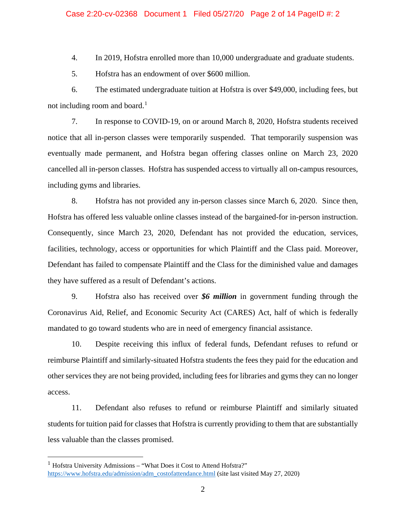#### Case 2:20-cv-02368 Document 1 Filed 05/27/20 Page 2 of 14 PageID #: 2

4. In 2019, Hofstra enrolled more than 10,000 undergraduate and graduate students.

5. Hofstra has an endowment of over \$600 million.

6. The estimated undergraduate tuition at Hofstra is over \$49,000, including fees, but not including room and board.<sup>[1](#page-1-0)</sup>

7. In response to COVID-19, on or around March 8, 2020, Hofstra students received notice that all in-person classes were temporarily suspended. That temporarily suspension was eventually made permanent, and Hofstra began offering classes online on March 23, 2020 cancelled all in-person classes. Hofstra has suspended access to virtually all on-campus resources, including gyms and libraries.

8. Hofstra has not provided any in-person classes since March 6, 2020. Since then, Hofstra has offered less valuable online classes instead of the bargained-for in-person instruction. Consequently, since March 23, 2020, Defendant has not provided the education, services, facilities, technology, access or opportunities for which Plaintiff and the Class paid. Moreover, Defendant has failed to compensate Plaintiff and the Class for the diminished value and damages they have suffered as a result of Defendant's actions.

9. Hofstra also has received over *\$6 million* in government funding through the Coronavirus Aid, Relief, and Economic Security Act (CARES) Act, half of which is federally mandated to go toward students who are in need of emergency financial assistance.

10. Despite receiving this influx of federal funds, Defendant refuses to refund or reimburse Plaintiff and similarly-situated Hofstra students the fees they paid for the education and other services they are not being provided, including fees for libraries and gyms they can no longer access.

11. Defendant also refuses to refund or reimburse Plaintiff and similarly situated students for tuition paid for classes that Hofstra is currently providing to them that are substantially less valuable than the classes promised.

<span id="page-1-0"></span><sup>&</sup>lt;sup>1</sup> Hofstra University Admissions – "What Does it Cost to Attend Hofstra?" [https://www.hofstra.edu/admission/adm\\_costofattendance.html](https://www.hofstra.edu/admission/adm_costofattendance.html) (site last visited May 27, 2020)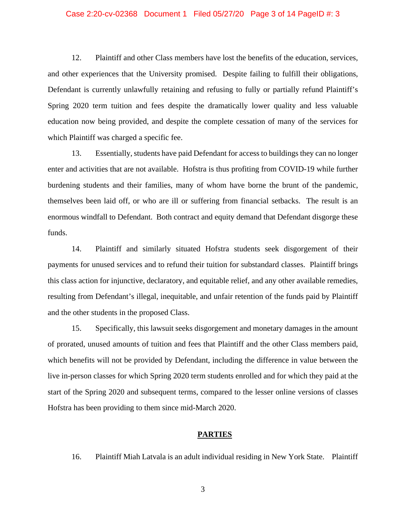#### Case 2:20-cv-02368 Document 1 Filed 05/27/20 Page 3 of 14 PageID #: 3

12. Plaintiff and other Class members have lost the benefits of the education, services, and other experiences that the University promised. Despite failing to fulfill their obligations, Defendant is currently unlawfully retaining and refusing to fully or partially refund Plaintiff's Spring 2020 term tuition and fees despite the dramatically lower quality and less valuable education now being provided, and despite the complete cessation of many of the services for which Plaintiff was charged a specific fee.

13. Essentially, students have paid Defendant for access to buildings they can no longer enter and activities that are not available. Hofstra is thus profiting from COVID-19 while further burdening students and their families, many of whom have borne the brunt of the pandemic, themselves been laid off, or who are ill or suffering from financial setbacks. The result is an enormous windfall to Defendant. Both contract and equity demand that Defendant disgorge these funds.

14. Plaintiff and similarly situated Hofstra students seek disgorgement of their payments for unused services and to refund their tuition for substandard classes. Plaintiff brings this class action for injunctive, declaratory, and equitable relief, and any other available remedies, resulting from Defendant's illegal, inequitable, and unfair retention of the funds paid by Plaintiff and the other students in the proposed Class.

15. Specifically, this lawsuit seeks disgorgement and monetary damages in the amount of prorated, unused amounts of tuition and fees that Plaintiff and the other Class members paid, which benefits will not be provided by Defendant, including the difference in value between the live in-person classes for which Spring 2020 term students enrolled and for which they paid at the start of the Spring 2020 and subsequent terms, compared to the lesser online versions of classes Hofstra has been providing to them since mid-March 2020.

#### **PARTIES**

16. Plaintiff Miah Latvala is an adult individual residing in New York State. Plaintiff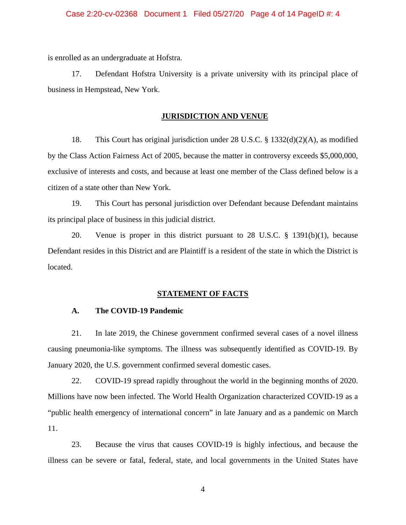is enrolled as an undergraduate at Hofstra.

17. Defendant Hofstra University is a private university with its principal place of business in Hempstead, New York.

#### **JURISDICTION AND VENUE**

18. This Court has original jurisdiction under 28 U.S.C. § 1332(d)(2)(A), as modified by the Class Action Fairness Act of 2005, because the matter in controversy exceeds \$5,000,000, exclusive of interests and costs, and because at least one member of the Class defined below is a citizen of a state other than New York.

19. This Court has personal jurisdiction over Defendant because Defendant maintains its principal place of business in this judicial district.

20. Venue is proper in this district pursuant to 28 U.S.C. § 1391(b)(1), because Defendant resides in this District and are Plaintiff is a resident of the state in which the District is located.

#### **STATEMENT OF FACTS**

#### **A. The COVID-19 Pandemic**

21. In late 2019, the Chinese government confirmed several cases of a novel illness causing pneumonia-like symptoms. The illness was subsequently identified as COVID-19. By January 2020, the U.S. government confirmed several domestic cases.

22. COVID-19 spread rapidly throughout the world in the beginning months of 2020. Millions have now been infected. The World Health Organization characterized COVID-19 as a "public health emergency of international concern" in late January and as a pandemic on March 11.

23. Because the virus that causes COVID-19 is highly infectious, and because the illness can be severe or fatal, federal, state, and local governments in the United States have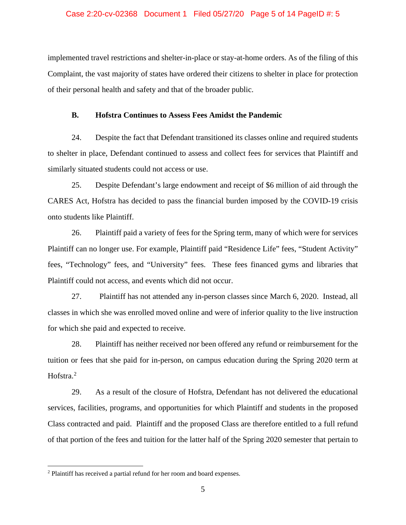#### Case 2:20-cv-02368 Document 1 Filed 05/27/20 Page 5 of 14 PageID #: 5

implemented travel restrictions and shelter-in-place or stay-at-home orders. As of the filing of this Complaint, the vast majority of states have ordered their citizens to shelter in place for protection of their personal health and safety and that of the broader public.

#### **B. Hofstra Continues to Assess Fees Amidst the Pandemic**

24. Despite the fact that Defendant transitioned its classes online and required students to shelter in place, Defendant continued to assess and collect fees for services that Plaintiff and similarly situated students could not access or use.

25. Despite Defendant's large endowment and receipt of \$6 million of aid through the CARES Act, Hofstra has decided to pass the financial burden imposed by the COVID-19 crisis onto students like Plaintiff.

26. Plaintiff paid a variety of fees for the Spring term, many of which were for services Plaintiff can no longer use. For example, Plaintiff paid "Residence Life" fees, "Student Activity" fees, "Technology" fees, and "University" fees. These fees financed gyms and libraries that Plaintiff could not access, and events which did not occur.

27. Plaintiff has not attended any in-person classes since March 6, 2020. Instead, all classes in which she was enrolled moved online and were of inferior quality to the live instruction for which she paid and expected to receive.

28. Plaintiff has neither received nor been offered any refund or reimbursement for the tuition or fees that she paid for in-person, on campus education during the Spring 2020 term at Hofstra.<sup>[2](#page-4-0)</sup>

29. As a result of the closure of Hofstra, Defendant has not delivered the educational services, facilities, programs, and opportunities for which Plaintiff and students in the proposed Class contracted and paid. Plaintiff and the proposed Class are therefore entitled to a full refund of that portion of the fees and tuition for the latter half of the Spring 2020 semester that pertain to

<span id="page-4-0"></span><sup>2</sup> Plaintiff has received a partial refund for her room and board expenses.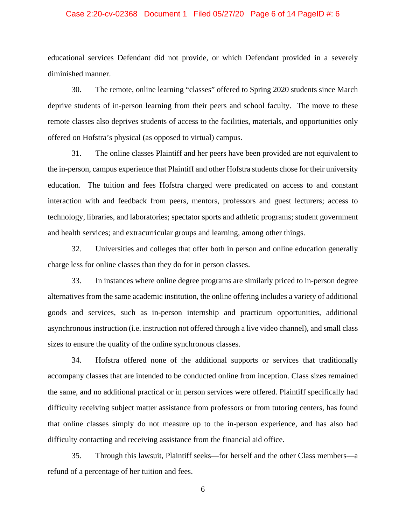#### Case 2:20-cv-02368 Document 1 Filed 05/27/20 Page 6 of 14 PageID #: 6

educational services Defendant did not provide, or which Defendant provided in a severely diminished manner.

30. The remote, online learning "classes" offered to Spring 2020 students since March deprive students of in-person learning from their peers and school faculty. The move to these remote classes also deprives students of access to the facilities, materials, and opportunities only offered on Hofstra's physical (as opposed to virtual) campus.

31. The online classes Plaintiff and her peers have been provided are not equivalent to the in-person, campus experience that Plaintiff and other Hofstra students chose for their university education. The tuition and fees Hofstra charged were predicated on access to and constant interaction with and feedback from peers, mentors, professors and guest lecturers; access to technology, libraries, and laboratories; spectator sports and athletic programs; student government and health services; and extracurricular groups and learning, among other things.

32. Universities and colleges that offer both in person and online education generally charge less for online classes than they do for in person classes.

33. In instances where online degree programs are similarly priced to in-person degree alternatives from the same academic institution, the online offering includes a variety of additional goods and services, such as in-person internship and practicum opportunities, additional asynchronous instruction (i.e. instruction not offered through a live video channel), and small class sizes to ensure the quality of the online synchronous classes.

34. Hofstra offered none of the additional supports or services that traditionally accompany classes that are intended to be conducted online from inception. Class sizes remained the same, and no additional practical or in person services were offered. Plaintiff specifically had difficulty receiving subject matter assistance from professors or from tutoring centers, has found that online classes simply do not measure up to the in-person experience, and has also had difficulty contacting and receiving assistance from the financial aid office.

35. Through this lawsuit, Plaintiff seeks—for herself and the other Class members—a refund of a percentage of her tuition and fees.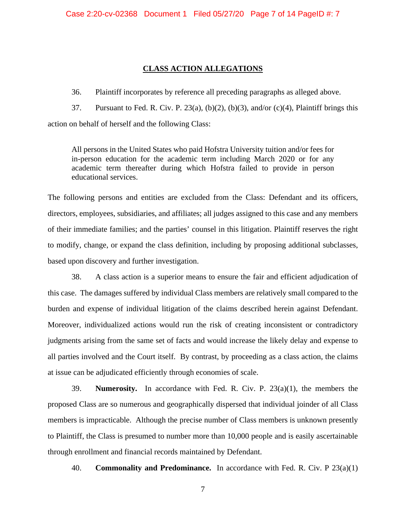#### **CLASS ACTION ALLEGATIONS**

36. Plaintiff incorporates by reference all preceding paragraphs as alleged above.

37. Pursuant to Fed. R. Civ. P.  $23(a)$ , (b)(2), (b)(3), and/or (c)(4), Plaintiff brings this action on behalf of herself and the following Class:

All persons in the United States who paid Hofstra University tuition and/or fees for in-person education for the academic term including March 2020 or for any academic term thereafter during which Hofstra failed to provide in person educational services.

The following persons and entities are excluded from the Class: Defendant and its officers, directors, employees, subsidiaries, and affiliates; all judges assigned to this case and any members of their immediate families; and the parties' counsel in this litigation. Plaintiff reserves the right to modify, change, or expand the class definition, including by proposing additional subclasses, based upon discovery and further investigation.

38. A class action is a superior means to ensure the fair and efficient adjudication of this case. The damages suffered by individual Class members are relatively small compared to the burden and expense of individual litigation of the claims described herein against Defendant. Moreover, individualized actions would run the risk of creating inconsistent or contradictory judgments arising from the same set of facts and would increase the likely delay and expense to all parties involved and the Court itself. By contrast, by proceeding as a class action, the claims at issue can be adjudicated efficiently through economies of scale.

39. **Numerosity.** In accordance with Fed. R. Civ. P. 23(a)(1), the members the proposed Class are so numerous and geographically dispersed that individual joinder of all Class members is impracticable. Although the precise number of Class members is unknown presently to Plaintiff, the Class is presumed to number more than 10,000 people and is easily ascertainable through enrollment and financial records maintained by Defendant.

40. **Commonality and Predominance.** In accordance with Fed. R. Civ. P 23(a)(1)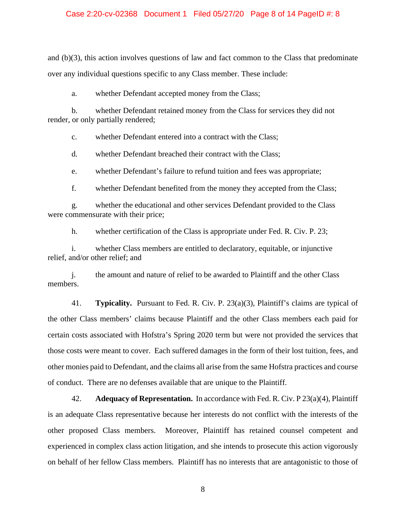#### Case 2:20-cv-02368 Document 1 Filed 05/27/20 Page 8 of 14 PageID #: 8

and (b)(3), this action involves questions of law and fact common to the Class that predominate over any individual questions specific to any Class member. These include:

a. whether Defendant accepted money from the Class;

b. whether Defendant retained money from the Class for services they did not render, or only partially rendered;

c. whether Defendant entered into a contract with the Class;

d. whether Defendant breached their contract with the Class;

e. whether Defendant's failure to refund tuition and fees was appropriate;

f. whether Defendant benefited from the money they accepted from the Class;

g. whether the educational and other services Defendant provided to the Class were commensurate with their price;

h. whether certification of the Class is appropriate under Fed. R. Civ. P. 23;

i. whether Class members are entitled to declaratory, equitable, or injunctive relief, and/or other relief; and

j. the amount and nature of relief to be awarded to Plaintiff and the other Class members.

41. **Typicality.** Pursuant to Fed. R. Civ. P. 23(a)(3), Plaintiff's claims are typical of the other Class members' claims because Plaintiff and the other Class members each paid for certain costs associated with Hofstra's Spring 2020 term but were not provided the services that those costs were meant to cover. Each suffered damages in the form of their lost tuition, fees, and other monies paid to Defendant, and the claims all arise from the same Hofstra practices and course of conduct. There are no defenses available that are unique to the Plaintiff.

42. **Adequacy of Representation.** In accordance with Fed. R. Civ. P 23(a)(4), Plaintiff is an adequate Class representative because her interests do not conflict with the interests of the other proposed Class members. Moreover, Plaintiff has retained counsel competent and experienced in complex class action litigation, and she intends to prosecute this action vigorously on behalf of her fellow Class members. Plaintiff has no interests that are antagonistic to those of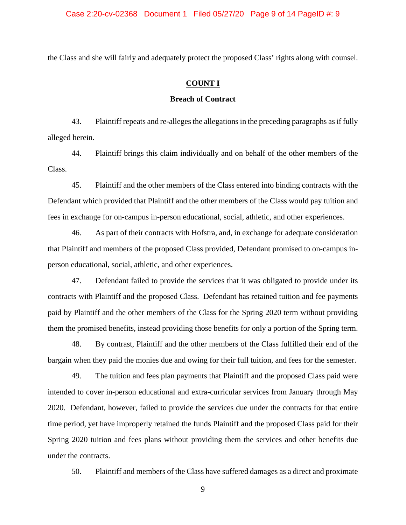the Class and she will fairly and adequately protect the proposed Class' rights along with counsel.

#### **COUNT I**

#### **Breach of Contract**

43. Plaintiff repeats and re-alleges the allegations in the preceding paragraphs as if fully alleged herein.

44. Plaintiff brings this claim individually and on behalf of the other members of the Class.

45. Plaintiff and the other members of the Class entered into binding contracts with the Defendant which provided that Plaintiff and the other members of the Class would pay tuition and fees in exchange for on-campus in-person educational, social, athletic, and other experiences.

46. As part of their contracts with Hofstra, and, in exchange for adequate consideration that Plaintiff and members of the proposed Class provided, Defendant promised to on-campus inperson educational, social, athletic, and other experiences.

47. Defendant failed to provide the services that it was obligated to provide under its contracts with Plaintiff and the proposed Class. Defendant has retained tuition and fee payments paid by Plaintiff and the other members of the Class for the Spring 2020 term without providing them the promised benefits, instead providing those benefits for only a portion of the Spring term.

48. By contrast, Plaintiff and the other members of the Class fulfilled their end of the bargain when they paid the monies due and owing for their full tuition, and fees for the semester.

49. The tuition and fees plan payments that Plaintiff and the proposed Class paid were intended to cover in-person educational and extra-curricular services from January through May 2020. Defendant, however, failed to provide the services due under the contracts for that entire time period, yet have improperly retained the funds Plaintiff and the proposed Class paid for their Spring 2020 tuition and fees plans without providing them the services and other benefits due under the contracts.

50. Plaintiff and members of the Class have suffered damages as a direct and proximate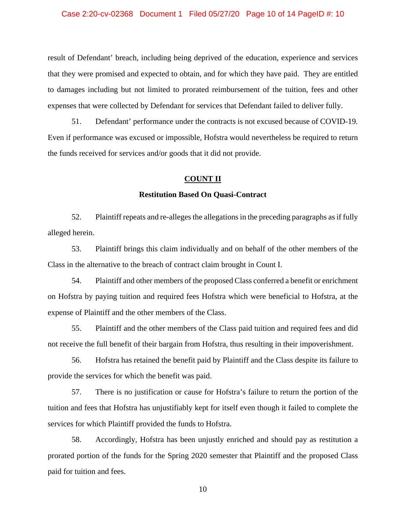# Case 2:20-cv-02368 Document 1 Filed 05/27/20 Page 10 of 14 PageID #: 10

result of Defendant' breach, including being deprived of the education, experience and services that they were promised and expected to obtain, and for which they have paid. They are entitled to damages including but not limited to prorated reimbursement of the tuition, fees and other expenses that were collected by Defendant for services that Defendant failed to deliver fully.

51. Defendant' performance under the contracts is not excused because of COVID-19. Even if performance was excused or impossible, Hofstra would nevertheless be required to return the funds received for services and/or goods that it did not provide.

#### **COUNT II**

#### **Restitution Based On Quasi-Contract**

52. Plaintiff repeats and re-alleges the allegations in the preceding paragraphs as if fully alleged herein.

53. Plaintiff brings this claim individually and on behalf of the other members of the Class in the alternative to the breach of contract claim brought in Count I.

54. Plaintiff and other members of the proposed Class conferred a benefit or enrichment on Hofstra by paying tuition and required fees Hofstra which were beneficial to Hofstra, at the expense of Plaintiff and the other members of the Class.

55. Plaintiff and the other members of the Class paid tuition and required fees and did not receive the full benefit of their bargain from Hofstra, thus resulting in their impoverishment.

56. Hofstra has retained the benefit paid by Plaintiff and the Class despite its failure to provide the services for which the benefit was paid.

57. There is no justification or cause for Hofstra's failure to return the portion of the tuition and fees that Hofstra has unjustifiably kept for itself even though it failed to complete the services for which Plaintiff provided the funds to Hofstra.

58. Accordingly, Hofstra has been unjustly enriched and should pay as restitution a prorated portion of the funds for the Spring 2020 semester that Plaintiff and the proposed Class paid for tuition and fees.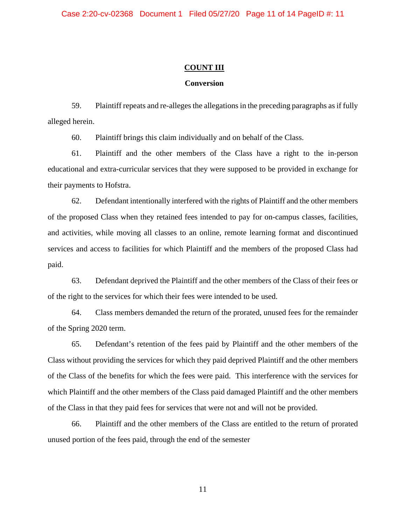#### **COUNT III**

#### **Conversion**

59. Plaintiff repeats and re-alleges the allegations in the preceding paragraphs as if fully alleged herein.

60. Plaintiff brings this claim individually and on behalf of the Class.

61. Plaintiff and the other members of the Class have a right to the in-person educational and extra-curricular services that they were supposed to be provided in exchange for their payments to Hofstra.

62. Defendant intentionally interfered with the rights of Plaintiff and the other members of the proposed Class when they retained fees intended to pay for on-campus classes, facilities, and activities, while moving all classes to an online, remote learning format and discontinued services and access to facilities for which Plaintiff and the members of the proposed Class had paid.

63. Defendant deprived the Plaintiff and the other members of the Class of their fees or of the right to the services for which their fees were intended to be used.

64. Class members demanded the return of the prorated, unused fees for the remainder of the Spring 2020 term.

65. Defendant's retention of the fees paid by Plaintiff and the other members of the Class without providing the services for which they paid deprived Plaintiff and the other members of the Class of the benefits for which the fees were paid. This interference with the services for which Plaintiff and the other members of the Class paid damaged Plaintiff and the other members of the Class in that they paid fees for services that were not and will not be provided.

66. Plaintiff and the other members of the Class are entitled to the return of prorated unused portion of the fees paid, through the end of the semester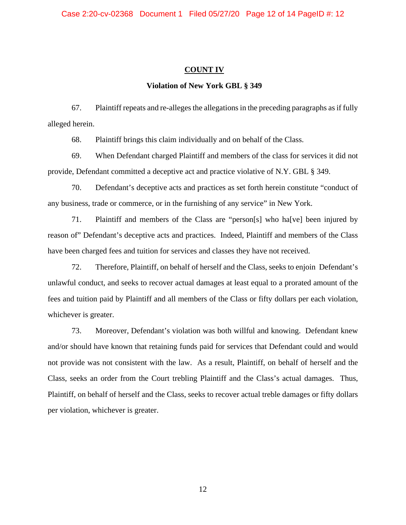#### **COUNT IV**

#### **Violation of New York GBL § 349**

67. Plaintiff repeats and re-alleges the allegations in the preceding paragraphs as if fully alleged herein.

68. Plaintiff brings this claim individually and on behalf of the Class.

69. When Defendant charged Plaintiff and members of the class for services it did not provide, Defendant committed a deceptive act and practice violative of N.Y. GBL § 349.

70. Defendant's deceptive acts and practices as set forth herein constitute "conduct of any business, trade or commerce, or in the furnishing of any service" in New York.

71. Plaintiff and members of the Class are "person[s] who ha[ve] been injured by reason of" Defendant's deceptive acts and practices. Indeed, Plaintiff and members of the Class have been charged fees and tuition for services and classes they have not received.

72. Therefore, Plaintiff, on behalf of herself and the Class, seeks to enjoin Defendant's unlawful conduct, and seeks to recover actual damages at least equal to a prorated amount of the fees and tuition paid by Plaintiff and all members of the Class or fifty dollars per each violation, whichever is greater.

73. Moreover, Defendant's violation was both willful and knowing. Defendant knew and/or should have known that retaining funds paid for services that Defendant could and would not provide was not consistent with the law. As a result, Plaintiff, on behalf of herself and the Class, seeks an order from the Court trebling Plaintiff and the Class's actual damages. Thus, Plaintiff, on behalf of herself and the Class, seeks to recover actual treble damages or fifty dollars per violation, whichever is greater.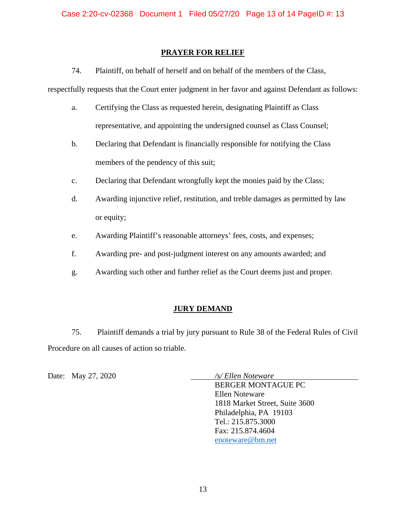### **PRAYER FOR RELIEF**

74. Plaintiff, on behalf of herself and on behalf of the members of the Class,

respectfully requests that the Court enter judgment in her favor and against Defendant as follows:

- a. Certifying the Class as requested herein, designating Plaintiff as Class representative, and appointing the undersigned counsel as Class Counsel;
- b. Declaring that Defendant is financially responsible for notifying the Class members of the pendency of this suit;
- c. Declaring that Defendant wrongfully kept the monies paid by the Class;
- d. Awarding injunctive relief, restitution, and treble damages as permitted by law or equity;
- e. Awarding Plaintiff's reasonable attorneys' fees, costs, and expenses;
- f. Awarding pre- and post-judgment interest on any amounts awarded; and
- g. Awarding such other and further relief as the Court deems just and proper.

# **JURY DEMAND**

75. Plaintiff demands a trial by jury pursuant to Rule 38 of the Federal Rules of Civil Procedure on all causes of action so triable.

Date: May 27, 2020 */s/ Ellen Noteware*

BERGER MONTAGUE PC Ellen Noteware 1818 Market Street, Suite 3600 Philadelphia, PA 19103 Tel.: 215.875.3000 Fax: 215.874.4604 [enoteware@bm.net](mailto:enoteware@bm.net)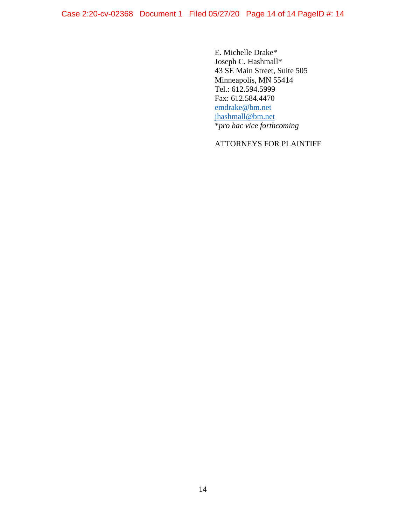E. Michelle Drake\* Joseph C. Hashmall\* 43 SE Main Street, Suite 505 Minneapolis, MN 55414 Tel.: 612.594.5999 Fax: 612.584.4470 [emdrake@bm.net](mailto:emdrake@bm.net) [jhashmall@bm.net](mailto:jhashmall@bm.net) \**pro hac vice forthcoming*

ATTORNEYS FOR PLAINTIFF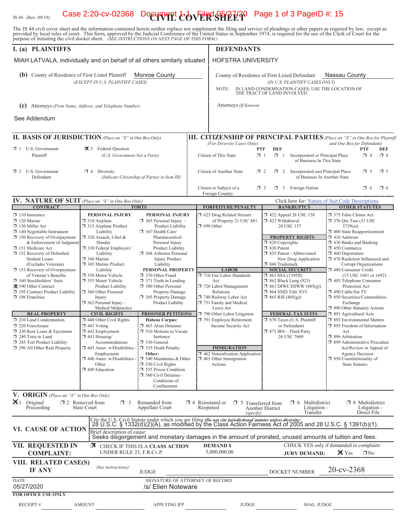# IS 44 (Rev. 09/19) Case 2:20-cv-02368 Document **+ d v ER SPIE E20** Page 1 of 3 PageID #: 15

The JS 44 civil cover sheet and the information contained herein neither replace nor supplement the filing and service of pleadings or other papers as required by law, except as provided by local rules of court. This form,

| I. (a) PLAINTIFFS                                                                                                                                                                                                                                                                                                                                                                                                                                                                                                                                                                                                                         |                                                                                                                                                                                                                                                                                                                                                                                                                                                                                                                                                                                                                                                                                                                                                                                                                                                                                                                                                                                                                                                                                                                                                                                                                                                                                                                                        | <b>DEFENDANTS</b>                                     |                                                                                                                                                                                                                                                                                                                                                                                                                            |                                                                                                                                                                                                                                                                                                                                                                                                                                                                                                           |                                                                                                                                                                                                                                                                                                                                                                                                                                                                                                                                                                                                                                                                                                                                                      |  |
|-------------------------------------------------------------------------------------------------------------------------------------------------------------------------------------------------------------------------------------------------------------------------------------------------------------------------------------------------------------------------------------------------------------------------------------------------------------------------------------------------------------------------------------------------------------------------------------------------------------------------------------------|----------------------------------------------------------------------------------------------------------------------------------------------------------------------------------------------------------------------------------------------------------------------------------------------------------------------------------------------------------------------------------------------------------------------------------------------------------------------------------------------------------------------------------------------------------------------------------------------------------------------------------------------------------------------------------------------------------------------------------------------------------------------------------------------------------------------------------------------------------------------------------------------------------------------------------------------------------------------------------------------------------------------------------------------------------------------------------------------------------------------------------------------------------------------------------------------------------------------------------------------------------------------------------------------------------------------------------------|-------------------------------------------------------|----------------------------------------------------------------------------------------------------------------------------------------------------------------------------------------------------------------------------------------------------------------------------------------------------------------------------------------------------------------------------------------------------------------------------|-----------------------------------------------------------------------------------------------------------------------------------------------------------------------------------------------------------------------------------------------------------------------------------------------------------------------------------------------------------------------------------------------------------------------------------------------------------------------------------------------------------|------------------------------------------------------------------------------------------------------------------------------------------------------------------------------------------------------------------------------------------------------------------------------------------------------------------------------------------------------------------------------------------------------------------------------------------------------------------------------------------------------------------------------------------------------------------------------------------------------------------------------------------------------------------------------------------------------------------------------------------------------|--|
|                                                                                                                                                                                                                                                                                                                                                                                                                                                                                                                                                                                                                                           | MIAH LATVALA, individually and on behalf of all others similarly situated                                                                                                                                                                                                                                                                                                                                                                                                                                                                                                                                                                                                                                                                                                                                                                                                                                                                                                                                                                                                                                                                                                                                                                                                                                                              |                                                       | <b>HOFSTRA UNIVERSITY</b>                                                                                                                                                                                                                                                                                                                                                                                                  |                                                                                                                                                                                                                                                                                                                                                                                                                                                                                                           |                                                                                                                                                                                                                                                                                                                                                                                                                                                                                                                                                                                                                                                                                                                                                      |  |
| (b) County of Residence of First Listed Plaintiff<br><b>Monroe County</b><br>(EXCEPT IN U.S. PLAINTIFF CASES)                                                                                                                                                                                                                                                                                                                                                                                                                                                                                                                             |                                                                                                                                                                                                                                                                                                                                                                                                                                                                                                                                                                                                                                                                                                                                                                                                                                                                                                                                                                                                                                                                                                                                                                                                                                                                                                                                        |                                                       | County of Residence of First Listed Defendant<br>Nassau County<br>(IN U.S. PLAINTIFF CASES ONLY)<br>IN LAND CONDEMNATION CASES, USE THE LOCATION OF<br>NOTE:<br>THE TRACT OF LAND INVOLVED.                                                                                                                                                                                                                                |                                                                                                                                                                                                                                                                                                                                                                                                                                                                                                           |                                                                                                                                                                                                                                                                                                                                                                                                                                                                                                                                                                                                                                                                                                                                                      |  |
| Attorneys (Firm Name, Address, and Telephone Number)<br>(c)                                                                                                                                                                                                                                                                                                                                                                                                                                                                                                                                                                               |                                                                                                                                                                                                                                                                                                                                                                                                                                                                                                                                                                                                                                                                                                                                                                                                                                                                                                                                                                                                                                                                                                                                                                                                                                                                                                                                        |                                                       | Attorneys (If Known)                                                                                                                                                                                                                                                                                                                                                                                                       |                                                                                                                                                                                                                                                                                                                                                                                                                                                                                                           |                                                                                                                                                                                                                                                                                                                                                                                                                                                                                                                                                                                                                                                                                                                                                      |  |
| See Addendum                                                                                                                                                                                                                                                                                                                                                                                                                                                                                                                                                                                                                              |                                                                                                                                                                                                                                                                                                                                                                                                                                                                                                                                                                                                                                                                                                                                                                                                                                                                                                                                                                                                                                                                                                                                                                                                                                                                                                                                        |                                                       |                                                                                                                                                                                                                                                                                                                                                                                                                            |                                                                                                                                                                                                                                                                                                                                                                                                                                                                                                           |                                                                                                                                                                                                                                                                                                                                                                                                                                                                                                                                                                                                                                                                                                                                                      |  |
|                                                                                                                                                                                                                                                                                                                                                                                                                                                                                                                                                                                                                                           | <b>II. BASIS OF JURISDICTION</b> (Place an "X" in One Box Only)                                                                                                                                                                                                                                                                                                                                                                                                                                                                                                                                                                                                                                                                                                                                                                                                                                                                                                                                                                                                                                                                                                                                                                                                                                                                        |                                                       |                                                                                                                                                                                                                                                                                                                                                                                                                            |                                                                                                                                                                                                                                                                                                                                                                                                                                                                                                           | <b>III. CITIZENSHIP OF PRINCIPAL PARTIES</b> (Place an "X" in One Box for Plaintiff                                                                                                                                                                                                                                                                                                                                                                                                                                                                                                                                                                                                                                                                  |  |
| $\Box$ 1 U.S. Government<br>Plaintiff                                                                                                                                                                                                                                                                                                                                                                                                                                                                                                                                                                                                     | 3 Federal Question<br>(U.S. Government Not a Party)                                                                                                                                                                                                                                                                                                                                                                                                                                                                                                                                                                                                                                                                                                                                                                                                                                                                                                                                                                                                                                                                                                                                                                                                                                                                                    |                                                       | (For Diversity Cases Only)<br>and One Box for Defendant)<br><b>DEF</b><br><b>PTF</b><br><b>PTF</b><br><b>DEF</b><br>Citizen of This State<br>$\Box$ 1<br>$\Box$ 1<br>Incorporated or Principal Place<br>$\Box$ 4<br>$\Box$ 4<br>of Business In This State                                                                                                                                                                  |                                                                                                                                                                                                                                                                                                                                                                                                                                                                                                           |                                                                                                                                                                                                                                                                                                                                                                                                                                                                                                                                                                                                                                                                                                                                                      |  |
| $\Box$ 2 U.S. Government<br>Defendant                                                                                                                                                                                                                                                                                                                                                                                                                                                                                                                                                                                                     | $\Box$ 4 Diversity<br>(Indicate Citizenship of Parties in Item III)                                                                                                                                                                                                                                                                                                                                                                                                                                                                                                                                                                                                                                                                                                                                                                                                                                                                                                                                                                                                                                                                                                                                                                                                                                                                    |                                                       | Citizen of Another State<br>Incorporated and Principal Place<br>$\Box$ 5<br>$\square$ 5<br>$\Box$ 2<br>$\Box$ 2<br>of Business In Another State                                                                                                                                                                                                                                                                            |                                                                                                                                                                                                                                                                                                                                                                                                                                                                                                           |                                                                                                                                                                                                                                                                                                                                                                                                                                                                                                                                                                                                                                                                                                                                                      |  |
|                                                                                                                                                                                                                                                                                                                                                                                                                                                                                                                                                                                                                                           |                                                                                                                                                                                                                                                                                                                                                                                                                                                                                                                                                                                                                                                                                                                                                                                                                                                                                                                                                                                                                                                                                                                                                                                                                                                                                                                                        |                                                       | Citizen or Subject of a<br>$\Box$ 3<br>Foreign Country                                                                                                                                                                                                                                                                                                                                                                     | 3 Foreign Nation                                                                                                                                                                                                                                                                                                                                                                                                                                                                                          | $\Box$ 6<br>$\Box$ 6                                                                                                                                                                                                                                                                                                                                                                                                                                                                                                                                                                                                                                                                                                                                 |  |
| <b>IV. NATURE OF SUIT</b> (Place an "X" in One Box Only)<br><b>CONTRACT</b>                                                                                                                                                                                                                                                                                                                                                                                                                                                                                                                                                               | <b>TORTS</b>                                                                                                                                                                                                                                                                                                                                                                                                                                                                                                                                                                                                                                                                                                                                                                                                                                                                                                                                                                                                                                                                                                                                                                                                                                                                                                                           |                                                       | <b>FORFEITURE/PENALTY</b>                                                                                                                                                                                                                                                                                                                                                                                                  | <b>BANKRUPTCY</b>                                                                                                                                                                                                                                                                                                                                                                                                                                                                                         | Click here for: Nature of Suit Code Descriptions.<br><b>OTHER STATUTES</b>                                                                                                                                                                                                                                                                                                                                                                                                                                                                                                                                                                                                                                                                           |  |
| $\Box$ 110 Insurance<br>$\Box$ 120 Marine<br>130 Miller Act<br>$\Box$ 140 Negotiable Instrument<br>$\Box$ 150 Recovery of Overpayment<br>& Enforcement of Judgment<br>151 Medicare Act<br>152 Recovery of Defaulted<br><b>Student Loans</b><br>(Excludes Veterans)<br>$\Box$ 153 Recovery of Overpayment<br>of Veteran's Benefits<br>160 Stockholders' Suits<br>X 190 Other Contract<br>195 Contract Product Liability<br>$\Box$ 196 Franchise<br><b>REAL PROPERTY</b><br>$\Box$ 210 Land Condemnation<br>220 Foreclosure<br>230 Rent Lease & Ejectment<br>240 Torts to Land<br>245 Tort Product Liability<br>290 All Other Real Property | PERSONAL INJURY<br>PERSONAL INJURY<br>$\Box$ 310 Airplane<br>$\Box$ 365 Personal Injury -<br>315 Airplane Product<br>Product Liability<br>Liability<br>367 Health Care/<br>$\Box$ 320 Assault, Libel &<br>Pharmaceutical<br>Slander<br>Personal Injury<br>□ 330 Federal Employers'<br>Product Liability<br>368 Asbestos Personal<br>Liability<br>□ 340 Marine<br><b>Injury Product</b><br>345 Marine Product<br>Liability<br>PERSONAL PROPERTY<br>Liability<br>□ 350 Motor Vehicle<br>370 Other Fraud<br>□ 355 Motor Vehicle<br>$\Box$ 371 Truth in Lending<br>380 Other Personal<br>Product Liability<br>360 Other Personal<br>Property Damage<br>385 Property Damage<br>Injury<br>$\Box$ 362 Personal Injury -<br>Product Liability<br>Medical Malpractice<br><b>PRISONER PETITIONS</b><br><b>CIVIL RIGHTS</b><br>$\Box$ 440 Other Civil Rights<br><b>Habeas Corpus:</b><br>$\Box$ 441 Voting<br>463 Alien Detainee<br>$\Box$ 442 Employment<br>$\Box$ 510 Motions to Vacate<br>$\Box$ 443 Housing/<br>Sentence<br>Accommodations<br>□ 530 General<br>445 Amer. w/Disabilities -<br>535 Death Penalty<br>Employment<br>Other:<br>$\Box$ 446 Amer. w/Disabilities<br>$\Box$ 540 Mandamus & Other<br>$\Box$ 550 Civil Rights<br>Other<br>448 Education<br>555 Prison Condition<br>560 Civil Detainee -<br>Conditions of<br>Confinement |                                                       | 5 625 Drug Related Seizure<br>of Property 21 USC 881<br>$\Box$ 690 Other<br><b>LABOR</b><br>710 Fair Labor Standards<br>Act<br>720 Labor/Management<br>Relations<br>740 Railway Labor Act<br>751 Family and Medical<br>Leave Act<br>790 Other Labor Litigation<br>791 Employee Retirement<br>Income Security Act<br><b>IMMIGRATION</b><br>$\Box$ 462 Naturalization Application<br>$\Box$ 465 Other Immigration<br>Actions | 158 122 Appeal 28 USC 158<br>423 Withdrawal<br>28 USC 157<br><b>PROPERTY RIGHTS</b><br>$\Box$ 820 Copyrights<br>□ 830 Patent<br>□ 835 Patent - Abbreviated<br>New Drug Application<br>□ 840 Trademark<br><b>SOCIAL SECURITY</b><br>$\overline{1}$ 861 HIA (1395ff)<br>$\Box$ 862 Black Lung (923)<br>$\Box$ 863 DIWC/DIWW (405(g))<br>□ 864 SSID Title XVI<br>$\Box$ 865 RSI (405(g))<br><b>FEDERAL TAX SUITS</b><br>7 870 Taxes (U.S. Plaintiff<br>or Defendant)<br>□ 871 IRS-Third Party<br>26 USC 7609 | 375 False Claims Act<br>$\Box$ 376 Qui Tam (31 USC)<br>3729(a)<br>$\Box$ 400 State Reapportionment<br>$\Box$ 410 Antitrust<br>$\Box$ 430 Banks and Banking<br>$\Box$ 450 Commerce<br>$\Box$ 460 Deportation<br>1 470 Racketeer Influenced and<br>Corrupt Organizations<br>480 Consumer Credit<br>(15 USC 1681 or 1692)<br>485 Telephone Consumer<br>Protection Act<br>□ 490 Cable/Sat TV<br>□ 850 Securities/Commodities/<br>Exchange<br>□ 890 Other Statutory Actions<br>□ 891 Agricultural Acts<br>1 893 Environmental Matters<br>$\Box$ 895 Freedom of Information<br>Act<br>□ 896 Arbitration<br>□ 899 Administrative Procedure<br>Act/Review or Appeal of<br><b>Agency Decision</b><br>$\Box$ 950 Constitutionality of<br><b>State Statutes</b> |  |
| V. ORIGIN (Place an "X" in One Box Only)<br>$\mathbf{X}$ 1 Original<br>Proceeding                                                                                                                                                                                                                                                                                                                                                                                                                                                                                                                                                         | $\square$ 2 Removed from<br>Remanded from<br>$\Box$ 3<br><b>State Court</b><br>Appellate Court                                                                                                                                                                                                                                                                                                                                                                                                                                                                                                                                                                                                                                                                                                                                                                                                                                                                                                                                                                                                                                                                                                                                                                                                                                         | $\Box$ 4 Reinstated or                                | $\Box$ 5 Transferred from<br>Reopened<br>(specify)                                                                                                                                                                                                                                                                                                                                                                         | $\Box$ 6 Multidistrict<br>Litigation -<br><b>Another District</b><br>Transfer                                                                                                                                                                                                                                                                                                                                                                                                                             | $\Box$ 8 Multidistrict<br>Litigation -<br>Direct File                                                                                                                                                                                                                                                                                                                                                                                                                                                                                                                                                                                                                                                                                                |  |
| VI. CAUSE OF ACTION                                                                                                                                                                                                                                                                                                                                                                                                                                                                                                                                                                                                                       | Cite the U.S. Civil Statute under which you are filing (Do not cite jurisdictional statutes unless diversity):<br>28 U.S.C. § 1332(d)(2)(A), as modified by the Class Action Fairness Act of 2005 and 28 U.S.C. § 1391(b)(1).<br>Brief description of cause:<br>Seeks disgorgement and monetary damages in the amount of prorated, unused amounts of tuition and fees.                                                                                                                                                                                                                                                                                                                                                                                                                                                                                                                                                                                                                                                                                                                                                                                                                                                                                                                                                                 |                                                       |                                                                                                                                                                                                                                                                                                                                                                                                                            |                                                                                                                                                                                                                                                                                                                                                                                                                                                                                                           |                                                                                                                                                                                                                                                                                                                                                                                                                                                                                                                                                                                                                                                                                                                                                      |  |
| <b>VII. REQUESTED IN</b><br><b>COMPLAINT:</b>                                                                                                                                                                                                                                                                                                                                                                                                                                                                                                                                                                                             | ⊠<br>CHECK IF THIS IS A CLASS ACTION<br>UNDER RULE 23, F.R.Cv.P.                                                                                                                                                                                                                                                                                                                                                                                                                                                                                                                                                                                                                                                                                                                                                                                                                                                                                                                                                                                                                                                                                                                                                                                                                                                                       |                                                       | <b>DEMAND \$</b><br>5,000,000.00                                                                                                                                                                                                                                                                                                                                                                                           | <b>JURY DEMAND:</b>                                                                                                                                                                                                                                                                                                                                                                                                                                                                                       | CHECK YES only if demanded in complaint:<br>X Yes<br>$\Box$ No                                                                                                                                                                                                                                                                                                                                                                                                                                                                                                                                                                                                                                                                                       |  |
| VIII. RELATED CASE(S)<br><b>IF ANY</b>                                                                                                                                                                                                                                                                                                                                                                                                                                                                                                                                                                                                    | (See instructions):<br><b>JUDGE</b>                                                                                                                                                                                                                                                                                                                                                                                                                                                                                                                                                                                                                                                                                                                                                                                                                                                                                                                                                                                                                                                                                                                                                                                                                                                                                                    |                                                       |                                                                                                                                                                                                                                                                                                                                                                                                                            | <b>DOCKET NUMBER</b>                                                                                                                                                                                                                                                                                                                                                                                                                                                                                      | $20$ -cv-2368                                                                                                                                                                                                                                                                                                                                                                                                                                                                                                                                                                                                                                                                                                                                        |  |
| <b>DATE</b><br>05/27/2020<br><b>FOR OFFICE USE ONLY</b>                                                                                                                                                                                                                                                                                                                                                                                                                                                                                                                                                                                   |                                                                                                                                                                                                                                                                                                                                                                                                                                                                                                                                                                                                                                                                                                                                                                                                                                                                                                                                                                                                                                                                                                                                                                                                                                                                                                                                        | SIGNATURE OF ATTORNEY OF RECORD<br>/s/ Ellen Noteware |                                                                                                                                                                                                                                                                                                                                                                                                                            |                                                                                                                                                                                                                                                                                                                                                                                                                                                                                                           |                                                                                                                                                                                                                                                                                                                                                                                                                                                                                                                                                                                                                                                                                                                                                      |  |
| <b>RECEIPT#</b>                                                                                                                                                                                                                                                                                                                                                                                                                                                                                                                                                                                                                           | <b>AMOUNT</b><br><b>APPLYING IFP</b>                                                                                                                                                                                                                                                                                                                                                                                                                                                                                                                                                                                                                                                                                                                                                                                                                                                                                                                                                                                                                                                                                                                                                                                                                                                                                                   |                                                       | <b>JUDGE</b>                                                                                                                                                                                                                                                                                                                                                                                                               | MAG. JUDGE                                                                                                                                                                                                                                                                                                                                                                                                                                                                                                |                                                                                                                                                                                                                                                                                                                                                                                                                                                                                                                                                                                                                                                                                                                                                      |  |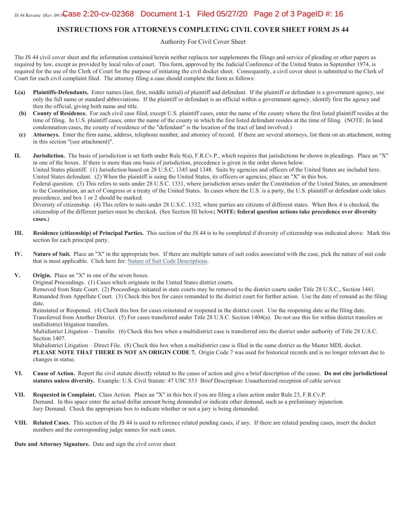#### **INSTRUCTIONS FOR ATTORNEYS COMPLETING CIVIL COVER SHEET FORM JS 44**

Authority For Civil Cover Sheet

The JS 44 civil cover sheet and the information contained herein neither replaces nor supplements the filings and service of pleading or other papers as required by law, except as provided by local rules of court. This form, approved by the Judicial Conference of the United States in September 1974, is required for the use of the Clerk of Court for the purpose of initiating the civil docket sheet. Consequently, a civil cover sheet is submitted to the Clerk of Court for each civil complaint filed. The attorney filing a case should complete the form as follows:

- **I.(a)** Plaintiffs-Defendants. Enter names (last, first, middle initial) of plaintiff and defendant. If the plaintiff or defendant is a government agency, use only the full name or standard abbreviations. If the plaintiff or defendant is an official within a government agency, identify first the agency and then the official, giving both name and title.
- (b) County of Residence. For each civil case filed, except U.S. plaintiff cases, enter the name of the county where the first listed plaintiff resides at the time of filing. In U.S. plaintiff cases, enter the name of the county in which the first listed defendant resides at the time of filing. (NOTE: In land condemnation cases, the county of residence of the "defendant" is the location of the tract of land involved.)
- (c) Attorneys. Enter the firm name, address, telephone number, and attorney of record. If there are several attorneys, list them on an attachment, noting in this section "(see attachment)".

**II.** Jurisdiction. The basis of jurisdiction is set forth under Rule 8(a), F.R.Cv.P., which requires that jurisdictions be shown in pleadings. Place an "X" in one of the boxes. If there is more than one basis of jurisdiction, precedence is given in the order shown below.

United States plaintiff. (1) Jurisdiction based on 28 U.S.C. 1345 and 1348. Suits by agencies and officers of the United States are included here. United States defendant. (2) When the plaintiff is suing the United States, its officers or agencies, place an "X" in this box.

Federal question. (3) This refers to suits under 28 U.S.C. 1331, where jurisdiction arises under the Constitution of the United States, an amendment to the Constitution, an act of Congress or a treaty of the United States. In cases where the U.S. is a party, the U.S. plaintiff or defendant code takes precedence, and box 1 or 2 should be marked.

Diversity of citizenship. (4) This refers to suits under 28 U.S.C. 1332, where parties are citizens of different states. When Box 4 is checked, the citizenship of the different parties must be checked. (See Section III below; **NOTE: federal question actions take precedence over diversity** cases.)

- **III.** Residence (citizenship) of Principal Parties. This section of the JS 44 is to be completed if diversity of citizenship was indicated above. Mark this section for each principal party.
- **IV.** Nature of Suit. Place an "X" in the appropriate box. If there are multiple nature of suit codes associated with the case, pick the nature of suit code that is most applicable. Click here for: Nature of Suit Code Descriptions.
- **V.** Origin. Place an "X" in one of the seven boxes.

Original Proceedings. (1) Cases which originate in the United States district courts.

Removed from State Court. (2) Proceedings initiated in state courts may be removed to the district courts under Title 28 U.S.C., Section 1441. Remanded from Appellate Court. (3) Check this box for cases remanded to the district court for further action. Use the date of remand as the filing date.

Reinstated or Reopened. (4) Check this box for cases reinstated or reopened in the district court. Use the reopening date as the filing date. Transferred from Another District. (5) For cases transferred under Title 28 U.S.C. Section 1404(a). Do not use this for within district transfers or multidistrict litigation transfers.

Multidistrict Litigation – Transfer. (6) Check this box when a multidistrict case is transferred into the district under authority of Title 28 U.S.C. Section 1407.

Multidistrict Litigation – Direct File. (8) Check this box when a multidistrict case is filed in the same district as the Master MDL docket. **PLEASE NOTE THAT THERE IS NOT AN ORIGIN CODE 7.** Origin Code 7 was used for historical records and is no longer relevant due to changes in statue.

- VI. Cause of Action. Report the civil statute directly related to the cause of action and give a brief description of the cause. Do not cite jurisdictional statutes unless diversity. Example: U.S. Civil Statute: 47 USC 553 Brief Description: Unauthorized reception of cable service
- **VII.** Requested in Complaint. Class Action. Place an "X" in this box if you are filing a class action under Rule 23, F.R.Cv.P. Demand. In this space enter the actual dollar amount being demanded or indicate other demand, such as a preliminary injunction. Jury Demand. Check the appropriate box to indicate whether or not a jury is being demanded.
- VIII. Related Cases. This section of the JS 44 is used to reference related pending cases, if any. If there are related pending cases, insert the docket numbers and the corresponding judge names for such cases.

Date and Attorney Signature. Date and sign the civil cover sheet.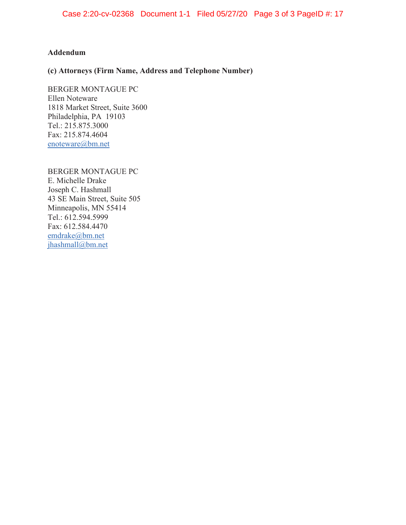# **Addendum**

# **(c) Attorneys (Firm Name, Address and Telephone Number)**

BERGER MONTAGUE PC Ellen Noteware 1818 Market Street, Suite 3600 Philadelphia, PA 19103 Tel.: 215.875.3000 Fax: 215.874.4604 enoteware@bm.net

BERGER MONTAGUE PC E. Michelle Drake Joseph C. Hashmall 43 SE Main Street, Suite 505 Minneapolis, MN 55414 Tel.: 612.594.5999 Fax: 612.584.4470 emdrake@bm.net jhashmall@bm.net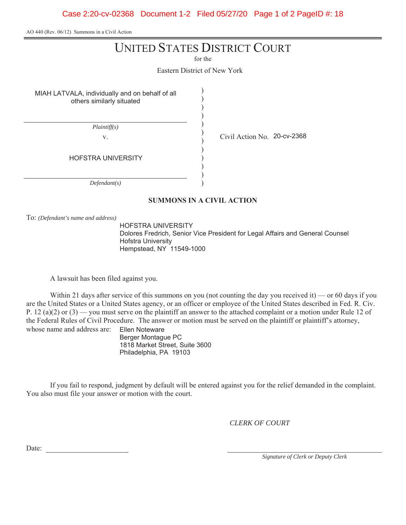Case 2:20-cv-02368 Document 1-2 Filed 05/27/20 Page 1 of 2 PageID #: 18

AO 440 (Rev. 06/12) Summons in a Civil Action

# UNITED STATES DISTRICT COURT

for the

Eastern District of New York

)  $\lambda$ 

MIAH LATVALA, individually and on behalf of all others similarly situated

| <b>UNIOR</b> SIMILARITY SILUCIUS |                             |
|----------------------------------|-----------------------------|
| Plaintiff(s)                     | Civil Action No. 20-cv-2368 |
| V.<br><b>HOFSTRA UNIVERSITY</b>  |                             |
|                                  |                             |
| Defendant(s)                     |                             |

## **SUMMONS IN A CIVIL ACTION**

To: *(Defendant's name and address)*

HOFSTRA UNIVERSITY Dolores Fredrich, Senior Vice President for Legal Affairs and General Counsel Hofstra University Hempstead, NY 11549-1000

A lawsuit has been filed against you.

Within 21 days after service of this summons on you (not counting the day you received it) — or 60 days if you are the United States or a United States agency, or an officer or employee of the United States described in Fed. R. Civ. P. 12 (a)(2) or  $(3)$  — you must serve on the plaintiff an answer to the attached complaint or a motion under Rule 12 of the Federal Rules of Civil Procedure. The answer or motion must be served on the plaintiff or plaintiff's attorney, whose name and address are: Ellen Noteware

Berger Montague PC 1818 Market Street, Suite 3600 Philadelphia, PA 19103

If you fail to respond, judgment by default will be entered against you for the relief demanded in the complaint. You also must file your answer or motion with the court.

*CLERK OF COURT*

Date:

*Signature of Clerk or Deputy Clerk*